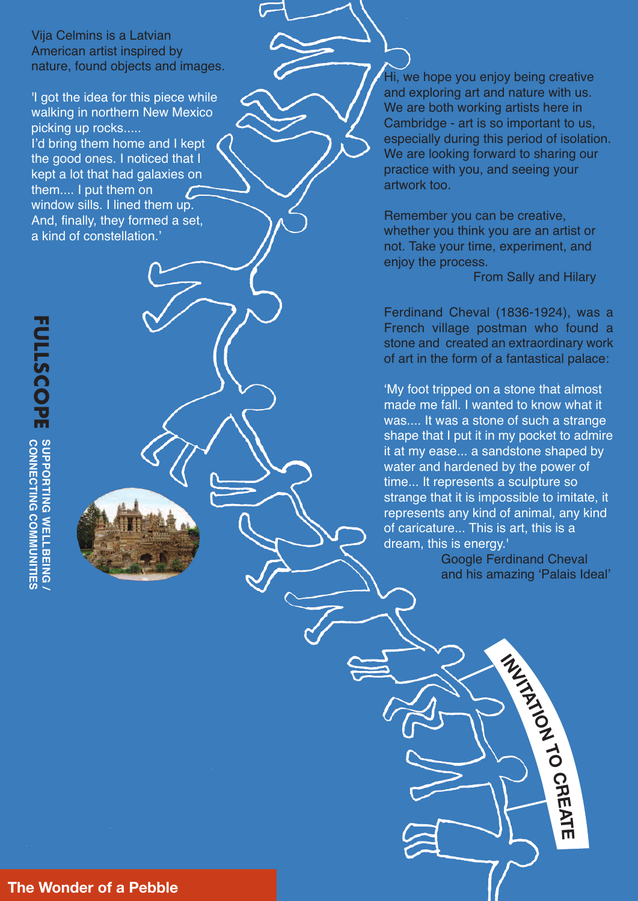Vija Cel[m](https://www.moma.org/collection/works/100210)ins is a Latvian American artist inspired by nature, found objects and images.

'I got the idea for this piece while walking in northern New Mexico picking up rocks..... I'd bring them home and I kept the good ones. I noticed that I kept a lot that had galaxies on them.... I put them on window sills. I lined them up. And, finally, they formed a set, a kind of constellation.'

Hi, we hope you enjoy being creative and exploring art and nature with us. We are both working artists here in Cambridge - art is so important to us, especially during this period of isolation. We are looking forward to sharing our practice with you, and seeing your artwork too.

Remember you can be creative, whether you think you are an artist or not. Take your time, experiment, and enjoy the process.

From Sally and Hilary

Ferdinand Cheval (1836-1924), was a French village postman who found a stone and created an extraordinary work of art in the form of a fantastical palace:

'My foot tripped on a stone that almost made me fall. I wanted to know what it was.... It was a stone of such a strange shape that I put it in my pocket to admire it at my ease... a sandstone shaped by water and hardened by the power of time... It represents a sculpture so strange that it is impossible to imitate, it represents any kind of animal, any kind of caricature... This is art, this is a dream, this is energy.'

> Google Ferdinand Cheval and his amazing 'Palais Ideal'

> > **INVITATION**

**TO**

**CREAT**

**E**